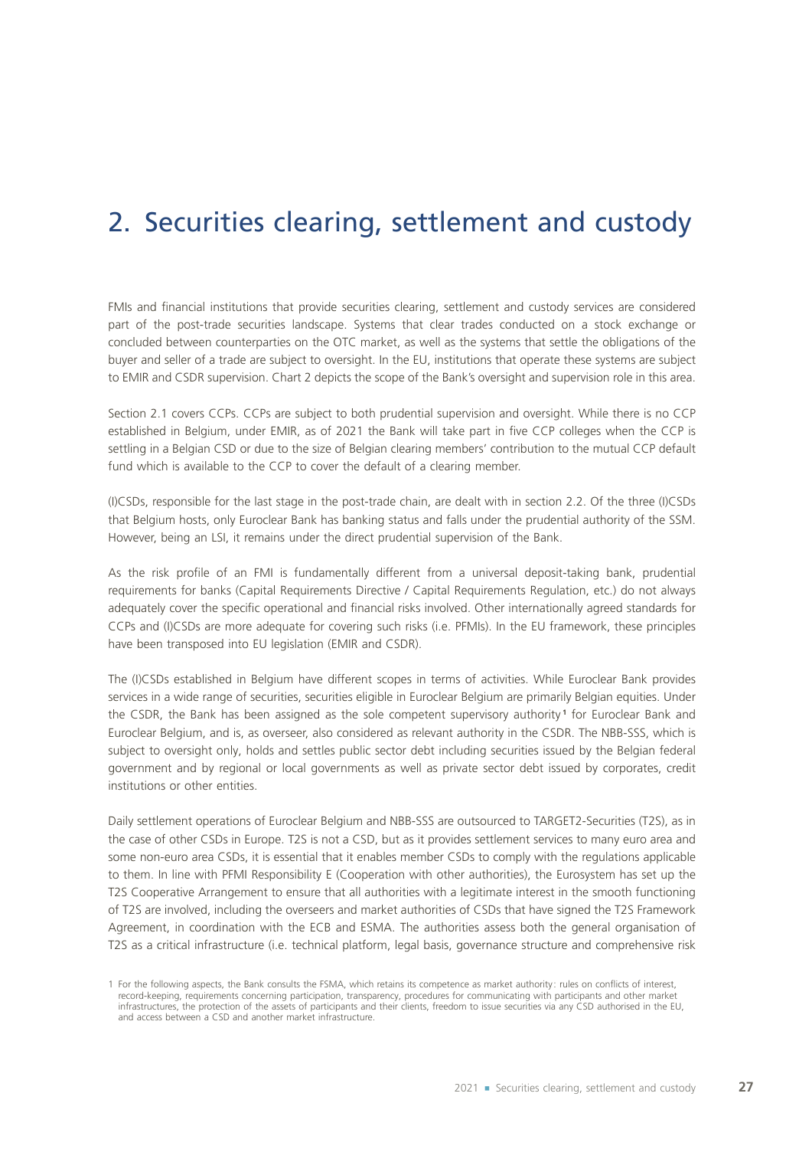# 2. Securities clearing, settlement and custody

FMIs and financial institutions that provide securities clearing, settlement and custody services are considered part of the post-trade securities landscape. Systems that clear trades conducted on a stock exchange or concluded between counterparties on the OTC market, as well as the systems that settle the obligations of the buyer and seller of a trade are subject to oversight. In the EU, institutions that operate these systems are subject to EMIR and CSDR supervision. Chart 2 depicts the scope of the Bank's oversight and supervision role in this area.

Section 2.1 covers CCPs. CCPs are subject to both prudential supervision and oversight. While there is no CCP established in Belgium, under EMIR, as of 2021 the Bank will take part in five CCP colleges when the CCP is settling in a Belgian CSD or due to the size of Belgian clearing members' contribution to the mutual CCP default fund which is available to the CCP to cover the default of a clearing member.

(I)CSDs, responsible for the last stage in the post‑trade chain, are dealt with in section 2.2. Of the three (I)CSDs that Belgium hosts, only Euroclear Bank has banking status and falls under the prudential authority of the SSM. However, being an LSI, it remains under the direct prudential supervision of the Bank.

As the risk profile of an FMI is fundamentally different from a universal deposit-taking bank, prudential requirements for banks (Capital Requirements Directive / Capital Requirements Regulation, etc.) do not always adequately cover the specific operational and financial risks involved. Other internationally agreed standards for CCPs and (I)CSDs are more adequate for covering such risks (i.e. PFMIs). In the EU framework, these principles have been transposed into EU legislation (EMIR and CSDR).

The (I)CSDs established in Belgium have different scopes in terms of activities. While Euroclear Bank provides services in a wide range of securities, securities eligible in Euroclear Belgium are primarily Belgian equities. Under the CSDR, the Bank has been assigned as the sole competent supervisory authority **<sup>1</sup>** for Euroclear Bank and Euroclear Belgium, and is, as overseer, also considered as relevant authority in the CSDR. The NBB‑SSS, which is subject to oversight only, holds and settles public sector debt including securities issued by the Belgian federal government and by regional or local governments as well as private sector debt issued by corporates, credit institutions or other entities.

Daily settlement operations of Euroclear Belgium and NBB‑SSS are outsourced to TARGET2-Securities (T2S), as in the case of other CSDs in Europe. T2S is not a CSD, but as it provides settlement services to many euro area and some non-euro area CSDs, it is essential that it enables member CSDs to comply with the regulations applicable to them. In line with PFMI Responsibility E (Cooperation with other authorities), the Eurosystem has set up the T2S Cooperative Arrangement to ensure that all authorities with a legitimate interest in the smooth functioning of T2S are involved, including the overseers and market authorities of CSDs that have signed the T2S Framework Agreement, in coordination with the ECB and ESMA. The authorities assess both the general organisation of T2S as a critical infrastructure (i.e. technical platform, legal basis, governance structure and comprehensive risk

<sup>1</sup> For the following aspects, the Bank consults the FSMA, which retains its competence as market authority: rules on conflicts of interest, record-keeping, requirements concerning participation, transparency, procedures for communicating with participants and other market infrastructures, the protection of the assets of participants and their clients, freedom to issue securities via any CSD authorised in the EU, and access between a CSD and another market infrastructure.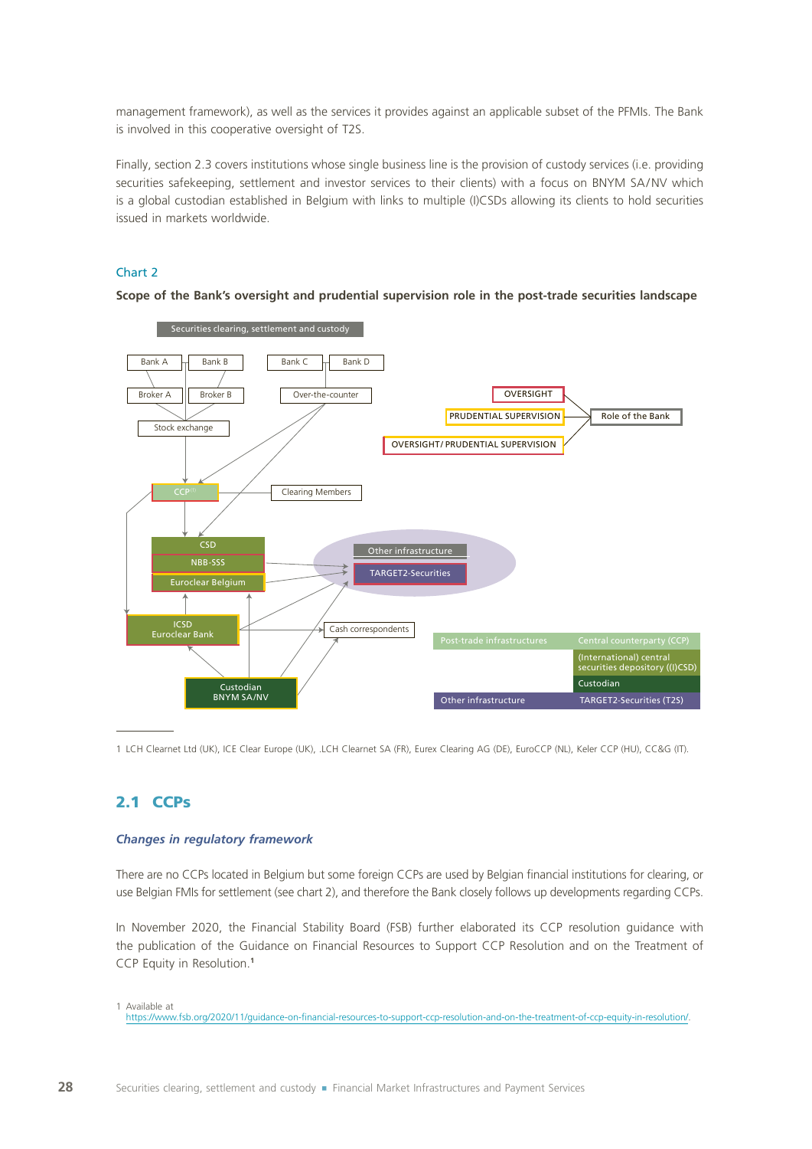management framework), as well as the services it provides against an applicable subset of the PFMIs. The Bank is involved in this cooperative oversight of T2S.

Finally, section 2.3 covers institutions whose single business line is the provision of custody services (i.e. providing securities safekeeping, settlement and investor services to their clients) with a focus on BNYM SA/NV which is a global custodian established in Belgium with links to multiple (I)CSDs allowing its clients to hold securities issued in markets worldwide.

### Chart 2

**Scope of the Bank's oversight and prudential supervision role in the post‑trade securities landscape**



1 LCH Clearnet Ltd (UK), ICE Clear Europe (UK), .LCH Clearnet SA (FR), Eurex Clearing AG (DE), EuroCCP (NL), Keler CCP (HU), CC&G (IT).

## 2.1 CCPs

#### *Changes in regulatory framework*

There are no CCPs located in Belgium but some foreign CCPs are used by Belgian financial institutions for clearing, or use Belgian FMIs for settlement (see chart 2), and therefore the Bank closely follows up developments regarding CCPs.

In November 2020, the Financial Stability Board (FSB) further elaborated its CCP resolution guidance with the publication of the Guidance on Financial Resources to Support CCP Resolution and on the Treatment of CCP Equity in Resolution.**<sup>1</sup>**

<sup>1</sup> Available at

[https://www.fsb.org/2020/11/guidance-on-financial-resources-to-support-ccp-resolution-and-on-the-treatment-of-ccp-equity-in-resolution/.](https://www.fsb.org/2020/11/guidance-on-financial-resources-to-support-ccp-resolution-and-on-the-tre)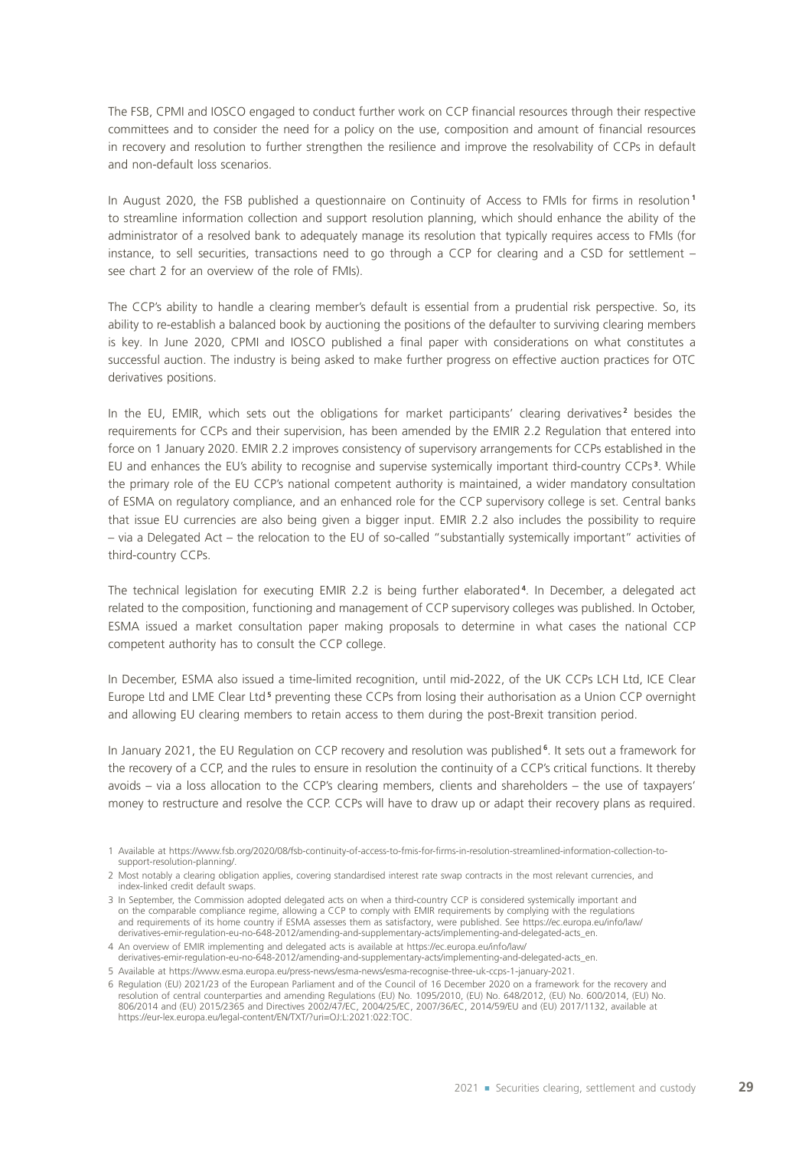The FSB, CPMI and IOSCO engaged to conduct further work on CCP financial resources through their respective committees and to consider the need for a policy on the use, composition and amount of financial resources in recovery and resolution to further strengthen the resilience and improve the resolvability of CCPs in default and non‑default loss scenarios.

In August 2020, the FSB published a questionnaire on Continuity of Access to FMIs for firms in resolution **<sup>1</sup>** to streamline information collection and support resolution planning, which should enhance the ability of the administrator of a resolved bank to adequately manage its resolution that typically requires access to FMIs (for instance, to sell securities, transactions need to go through a CCP for clearing and a CSD for settlement – see chart 2 for an overview of the role of FMIs).

The CCP's ability to handle a clearing member's default is essential from a prudential risk perspective. So, its ability to re-establish a balanced book by auctioning the positions of the defaulter to surviving clearing members is key. In June 2020, CPMI and IOSCO published a final paper with considerations on what constitutes a successful auction. The industry is being asked to make further progress on effective auction practices for OTC derivatives positions.

In the EU, EMIR, which sets out the obligations for market participants' clearing derivatives<sup>2</sup> besides the requirements for CCPs and their supervision, has been amended by the EMIR 2.2 Regulation that entered into force on 1 January 2020. EMIR 2.2 improves consistency of supervisory arrangements for CCPs established in the EU and enhances the EU's ability to recognise and supervise systemically important third‑country CCPs **<sup>3</sup>** . While the primary role of the EU CCP's national competent authority is maintained, a wider mandatory consultation of ESMA on regulatory compliance, and an enhanced role for the CCP supervisory college is set. Central banks that issue EU currencies are also being given a bigger input. EMIR 2.2 also includes the possibility to require – via a Delegated Act – the relocation to the EU of so‑called "substantially systemically important" activities of third-country CCPs.

The technical legislation for executing EMIR 2.2 is being further elaborated **<sup>4</sup>** . In December, a delegated act related to the composition, functioning and management of CCP supervisory colleges was published. In October, ESMA issued a market consultation paper making proposals to determine in what cases the national CCP competent authority has to consult the CCP college.

In December, ESMA also issued a time-limited recognition, until mid-2022, of the UK CCPs LCH Ltd, ICE Clear Europe Ltd and LME Clear Ltd<sup>5</sup> preventing these CCPs from losing their authorisation as a Union CCP overnight and allowing EU clearing members to retain access to them during the post-Brexit transition period.

In January 2021, the EU Regulation on CCP recovery and resolution was published **<sup>6</sup>** . It sets out a framework for the recovery of a CCP, and the rules to ensure in resolution the continuity of a CCP's critical functions. It thereby avoids – via a loss allocation to the CCP's clearing members, clients and shareholders – the use of taxpayers' money to restructure and resolve the CCP. CCPs will have to draw up or adapt their recovery plans as required.

<sup>1</sup> Available at https://www.fsb.org/2020/08/fsb-continuity-of-access-to-fmis-for-firms-in-resolution-streamlined-information-collection-tosupport-resolution-planning/.

<sup>2</sup> Most notably a clearing obligation applies, covering standardised interest rate swap contracts in the most relevant currencies, and index‑linked credit default swaps.

<sup>3</sup> In September, the Commission adopted delegated acts on when a third-country CCP is considered systemically important and on the comparable compliance regime, allowing a CCP to comply with EMIR requirements by complying with the regulations and requirements of its home country if ESMA assesses them as satisfactory, were published. See https://ec.europa.eu/info/law/ derivatives-emir-regulation-eu-no-648-2012/amending-and-supplementary-acts/implementing-and-delegated-acts\_en.

<sup>4</sup> An overview of EMIR implementing and delegated acts is available at https://ec.europa.eu/info/law/ derivatives-emir-regulation-eu-no-648-2012/amending-and-supplementary-acts/implementing-and-delegated-acts\_en.

<sup>5</sup> Available at https://www.esma.europa.eu/press-news/esma-news/esma-recognise-three-uk-ccps-1-january-2021.

<sup>6</sup> Regulation (EU) 2021/23 of the European Parliament and of the Council of 16 December 2020 on a framework for the recovery and resolution of central counterparties and amending Regulations (EU) No. 1095/2010, (EU) No. 648/2012, (EU) No. 600/2014, (EU) No. 806/2014 and (EU) 2015/2365 and Directives 2002/47/EC, 2004/25/EC, 2007/36/EC, 2014/59/EU and (EU) 2017/1132, available at https://eur-lex.europa.eu/legal-content/EN/TXT/?uri=OJ:L:2021:022:TOC.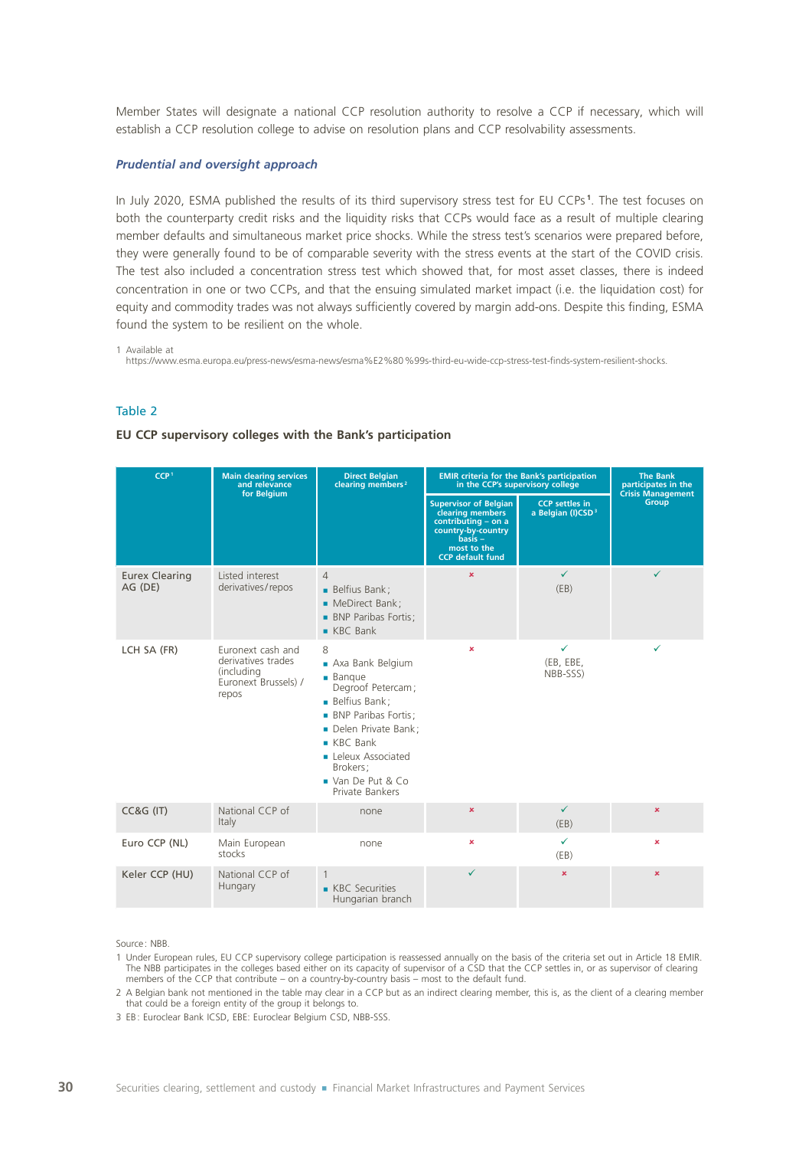Member States will designate a national CCP resolution authority to resolve a CCP if necessary, which will establish a CCP resolution college to advise on resolution plans and CCP resolvability assessments.

#### *Prudential and oversight approach*

In July 2020, ESMA published the results of its third supervisory stress test for EU CCPs **<sup>1</sup>** . The test focuses on both the counterparty credit risks and the liquidity risks that CCPs would face as a result of multiple clearing member defaults and simultaneous market price shocks. While the stress test's scenarios were prepared before, they were generally found to be of comparable severity with the stress events at the start of the COVID crisis. The test also included a concentration stress test which showed that, for most asset classes, there is indeed concentration in one or two CCPs, and that the ensuing simulated market impact (i.e. the liquidation cost) for equity and commodity trades was not always sufficiently covered by margin add-ons. Despite this finding, ESMA found the system to be resilient on the whole.

1 Available at

https://www.esma.europa.eu/press-news/esma-news/esma%E2%80%99s-third-eu-wide-ccp-stress-test-finds-system-resilient-shocks.

### Table 2

#### **EU CCP supervisory colleges with the Bank's participation**

| CCP <sup>1</sup>                 | <b>Main clearing services</b><br>and relevance<br>for Belgium                          | <b>Direct Belgian</b><br>clearing members <sup>2</sup>                                                                                                                                                                                  | <b>EMIR criteria for the Bank's participation</b><br>in the CCP's supervisory college                                                                |                                                        | <b>The Bank</b><br>participates in the<br><b>Crisis Management</b> |
|----------------------------------|----------------------------------------------------------------------------------------|-----------------------------------------------------------------------------------------------------------------------------------------------------------------------------------------------------------------------------------------|------------------------------------------------------------------------------------------------------------------------------------------------------|--------------------------------------------------------|--------------------------------------------------------------------|
|                                  |                                                                                        |                                                                                                                                                                                                                                         | <b>Supervisor of Belgian</b><br>clearing members<br>contributing - on a<br>country-by-country<br>$basis -$<br>most to the<br><b>CCP</b> default fund | <b>CCP</b> settles in<br>a Belgian (I)CSD <sup>3</sup> | <b>Group</b>                                                       |
| <b>Eurex Clearing</b><br>AG (DE) | Listed interest<br>derivatives/repos                                                   | $\overline{4}$<br><b>Belfius Bank</b> ;<br>• MeDirect Bank;<br><b>BNP Paribas Fortis;</b><br>$KBC$ Bank                                                                                                                                 | $\mathbf x$                                                                                                                                          | $\checkmark$<br>(EB)                                   | ✓                                                                  |
| LCH SA (FR)                      | Euronext cash and<br>derivatives trades<br>(including<br>Euronext Brussels) /<br>repos | 8<br>Axa Bank Belgium<br>$\blacksquare$ Bangue<br>Degroof Petercam;<br><b>Belfius Bank:</b><br><b>BNP Paribas Fortis:</b><br>Delen Private Bank;<br>$KBC$ Bank<br>• Leleux Associated<br>Brokers;<br>Van De Put & Co<br>Private Bankers | ×                                                                                                                                                    | $\checkmark$<br>(EB, EBE,<br>NBB-SSS)                  | ✓                                                                  |
| <b>CC&amp;G (IT)</b>             | National CCP of<br>Italy                                                               | none                                                                                                                                                                                                                                    | $\mathbf x$                                                                                                                                          | $\checkmark$<br>(EB)                                   | $\mathbf x$                                                        |
| Euro CCP (NL)                    | Main European<br>stocks                                                                | none                                                                                                                                                                                                                                    | $\mathbf x$                                                                                                                                          | ✓<br>(EB)                                              | $\mathbf x$                                                        |
| Keler CCP (HU)                   | National CCP of<br>Hungary                                                             | $\mathbf{1}$<br><b>KBC</b> Securities<br>Hungarian branch                                                                                                                                                                               | ✓                                                                                                                                                    | $\pmb{\times}$                                         | $\mathbf x$                                                        |

Source : NBB.

1 Under European rules, EU CCP supervisory college participation is reassessed annually on the basis of the criteria set out in Article 18 EMIR. The NBB participates in the colleges based either on its capacity of supervisor of a CSD that the CCP settles in, or as supervisor of clearing members of the CCP that contribute – on a country-by-country basis – most to the default fund.

2 A Belgian bank not mentioned in the table may clear in a CCP but as an indirect clearing member, this is, as the client of a clearing member that could be a foreign entity of the group it belongs to.

3 EB: Euroclear Bank ICSD, EBE: Euroclear Belgium CSD, NBB-SSS.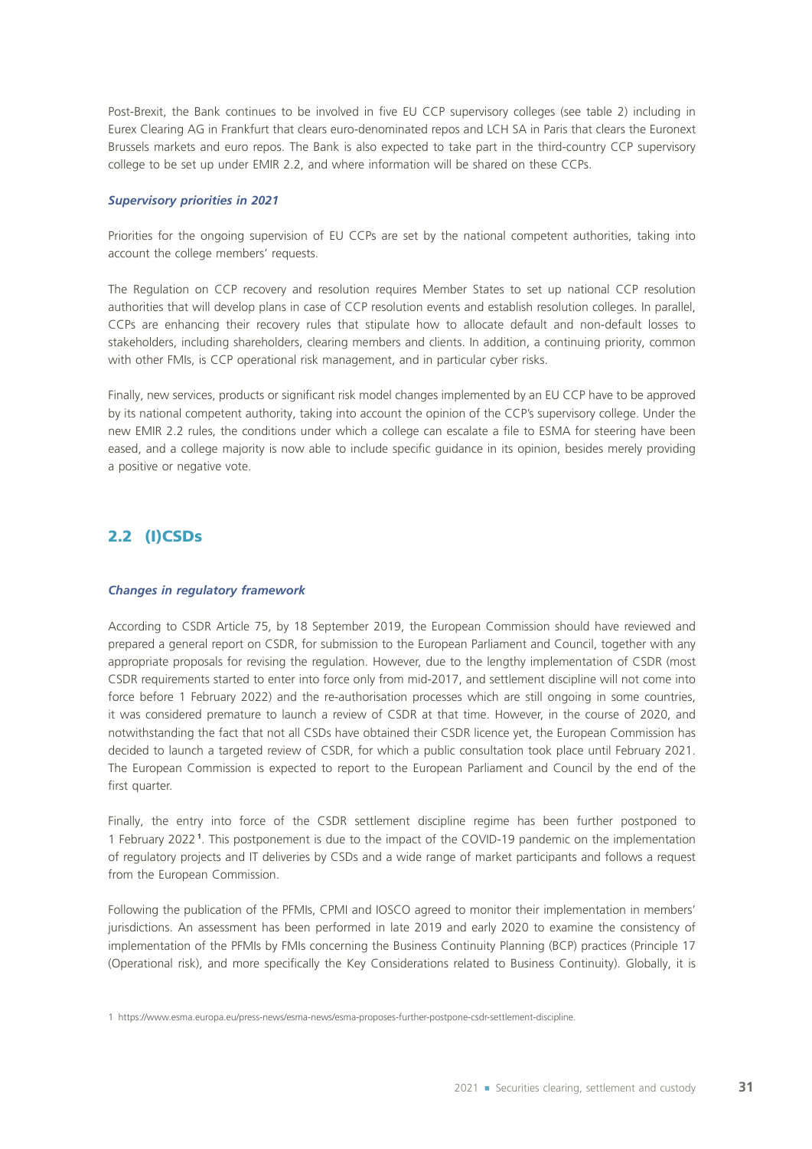Post-Brexit, the Bank continues to be involved in five EU CCP supervisory colleges (see table 2) including in Eurex Clearing AG in Frankfurt that clears euro‑denominated repos and LCH SA in Paris that clears the Euronext Brussels markets and euro repos. The Bank is also expected to take part in the third-country CCP supervisory college to be set up under EMIR 2.2, and where information will be shared on these CCPs.

#### *Supervisory priorities in 2021*

Priorities for the ongoing supervision of EU CCPs are set by the national competent authorities, taking into account the college members' requests.

The Regulation on CCP recovery and resolution requires Member States to set up national CCP resolution authorities that will develop plans in case of CCP resolution events and establish resolution colleges. In parallel, CCPs are enhancing their recovery rules that stipulate how to allocate default and non-default losses to stakeholders, including shareholders, clearing members and clients. In addition, a continuing priority, common with other FMIs, is CCP operational risk management, and in particular cyber risks.

Finally, new services, products or significant risk model changes implemented by an EU CCP have to be approved by its national competent authority, taking into account the opinion of the CCP's supervisory college. Under the new EMIR 2.2 rules, the conditions under which a college can escalate a file to ESMA for steering have been eased, and a college majority is now able to include specific guidance in its opinion, besides merely providing a positive or negative vote.

## 2.2 (I)CSDs

#### *Changes in regulatory framework*

According to CSDR Article 75, by 18 September 2019, the European Commission should have reviewed and prepared a general report on CSDR, for submission to the European Parliament and Council, together with any appropriate proposals for revising the regulation. However, due to the lengthy implementation of CSDR (most CSDR requirements started to enter into force only from mid‑2017, and settlement discipline will not come into force before 1 February 2022) and the re-authorisation processes which are still ongoing in some countries, it was considered premature to launch a review of CSDR at that time. However, in the course of 2020, and notwithstanding the fact that not all CSDs have obtained their CSDR licence yet, the European Commission has decided to launch a targeted review of CSDR, for which a public consultation took place until February 2021. The European Commission is expected to report to the European Parliament and Council by the end of the first quarter.

Finally, the entry into force of the CSDR settlement discipline regime has been further postponed to 1 February 2022 **<sup>1</sup>** . This postponement is due to the impact of the COVID‑19 pandemic on the implementation of regulatory projects and IT deliveries by CSDs and a wide range of market participants and follows a request from the European Commission.

Following the publication of the PFMIs, CPMI and IOSCO agreed to monitor their implementation in members' jurisdictions. An assessment has been performed in late 2019 and early 2020 to examine the consistency of implementation of the PFMIs by FMIs concerning the Business Continuity Planning (BCP) practices (Principle 17 (Operational risk), and more specifically the Key Considerations related to Business Continuity). Globally, it is

<sup>1</sup> https://www.esma.europa.eu/press-news/esma-news/esma-proposes-further-postpone-csdr-settlement-discipline.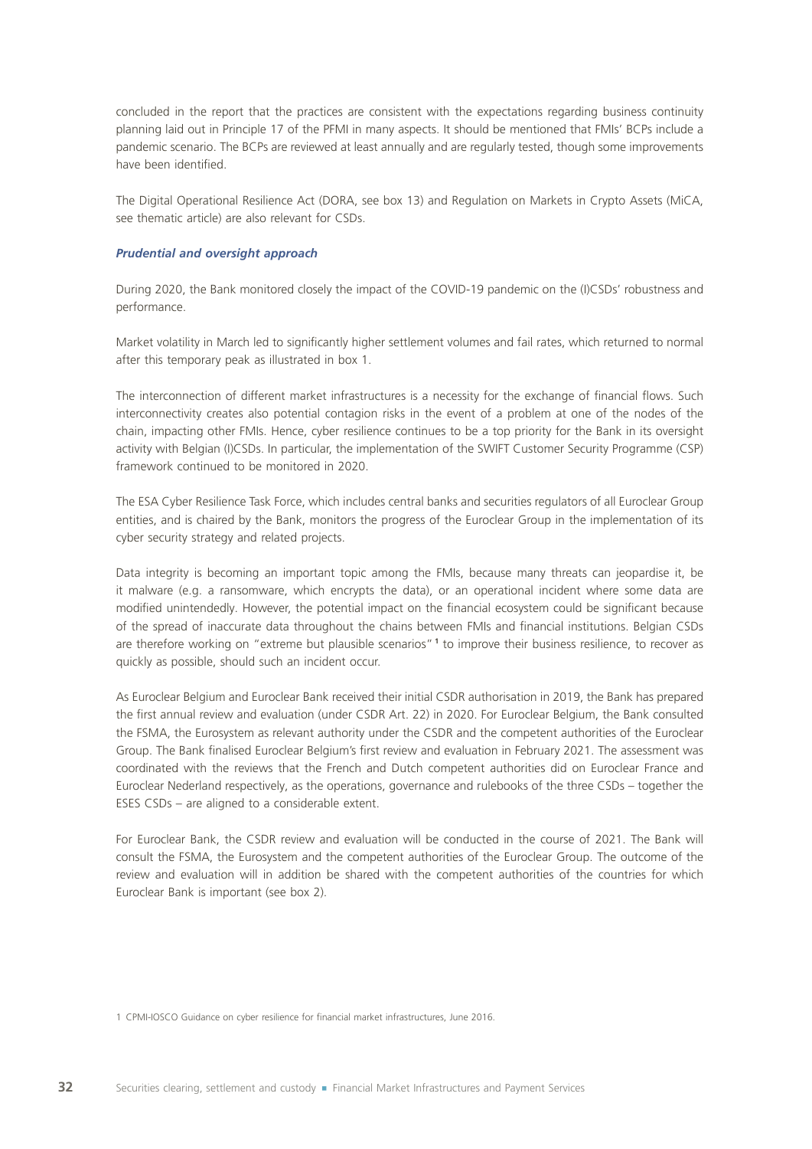concluded in the report that the practices are consistent with the expectations regarding business continuity planning laid out in Principle 17 of the PFMI in many aspects. It should be mentioned that FMIs' BCPs include a pandemic scenario. The BCPs are reviewed at least annually and are regularly tested, though some improvements have been identified.

The Digital Operational Resilience Act (DORA, see box 13) and Regulation on Markets in Crypto Assets (MiCA, see thematic article) are also relevant for CSDs.

#### *Prudential and oversight approach*

During 2020, the Bank monitored closely the impact of the COVID-19 pandemic on the (I)CSDs' robustness and performance.

Market volatility in March led to significantly higher settlement volumes and fail rates, which returned to normal after this temporary peak as illustrated in box 1.

The interconnection of different market infrastructures is a necessity for the exchange of financial flows. Such interconnectivity creates also potential contagion risks in the event of a problem at one of the nodes of the chain, impacting other FMIs. Hence, cyber resilience continues to be a top priority for the Bank in its oversight activity with Belgian (I)CSDs. In particular, the implementation of the SWIFT Customer Security Programme (CSP) framework continued to be monitored in 2020.

The ESA Cyber Resilience Task Force, which includes central banks and securities regulators of all Euroclear Group entities, and is chaired by the Bank, monitors the progress of the Euroclear Group in the implementation of its cyber security strategy and related projects.

Data integrity is becoming an important topic among the FMIs, because many threats can jeopardise it, be it malware (e.g. a ransomware, which encrypts the data), or an operational incident where some data are modified unintendedly. However, the potential impact on the financial ecosystem could be significant because of the spread of inaccurate data throughout the chains between FMIs and financial institutions. Belgian CSDs are therefore working on "extreme but plausible scenarios" **<sup>1</sup>** to improve their business resilience, to recover as quickly as possible, should such an incident occur.

As Euroclear Belgium and Euroclear Bank received their initial CSDR authorisation in 2019, the Bank has prepared the first annual review and evaluation (under CSDR Art. 22) in 2020. For Euroclear Belgium, the Bank consulted the FSMA, the Eurosystem as relevant authority under the CSDR and the competent authorities of the Euroclear Group. The Bank finalised Euroclear Belgium's first review and evaluation in February 2021. The assessment was coordinated with the reviews that the French and Dutch competent authorities did on Euroclear France and Euroclear Nederland respectively, as the operations, governance and rulebooks of the three CSDs – together the ESES CSDs – are aligned to a considerable extent.

For Euroclear Bank, the CSDR review and evaluation will be conducted in the course of 2021. The Bank will consult the FSMA, the Eurosystem and the competent authorities of the Euroclear Group. The outcome of the review and evaluation will in addition be shared with the competent authorities of the countries for which Euroclear Bank is important (see box 2).

1 CPMI-IOSCO Guidance on cyber resilience for financial market infrastructures, June 2016.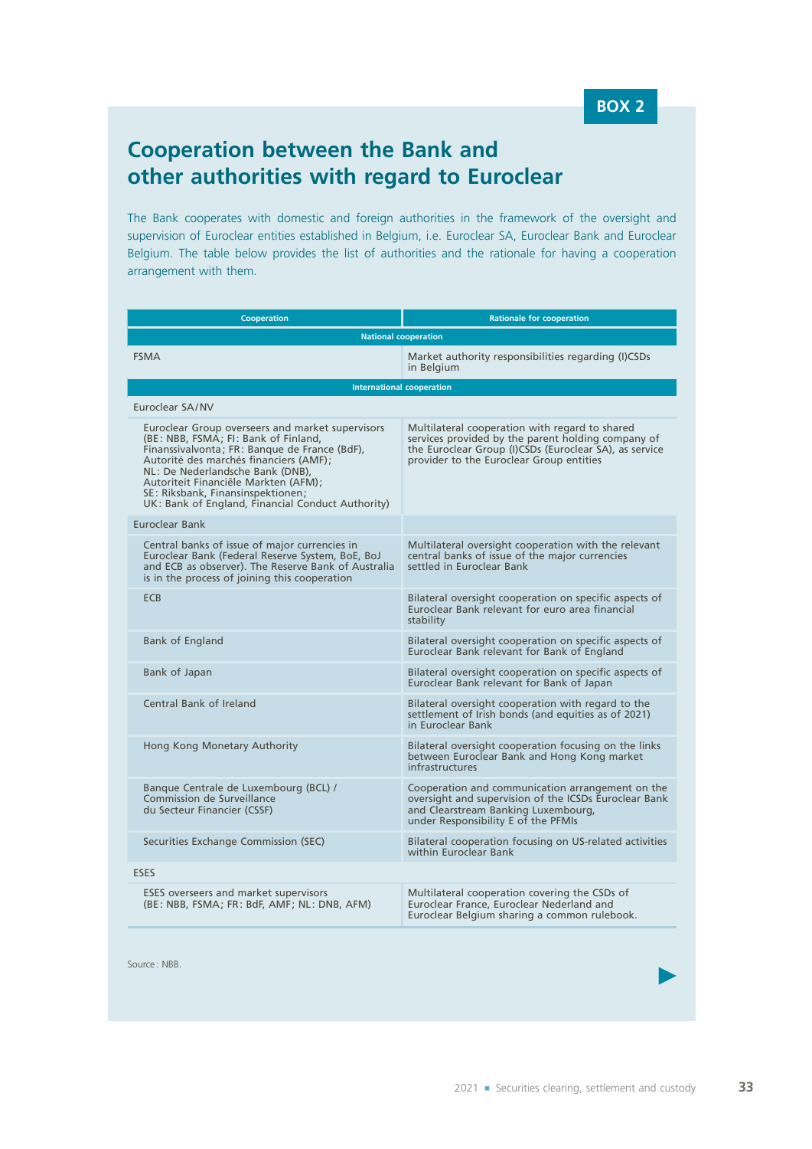## **Cooperation between the Bank and other authorities with regard to Euroclear**

The Bank cooperates with domestic and foreign authorities in the framework of the oversight and supervision of Euroclear entities established in Belgium, i.e. Euroclear SA, Euroclear Bank and Euroclear Belgium. The table below provides the list of authorities and the rationale for having a cooperation arrangement with them.

| <b>Cooperation</b>                                                                                                                                                                                                                                                                                                                                        | <b>Rationale for cooperation</b>                                                                                                                                                                           |  |  |  |  |
|-----------------------------------------------------------------------------------------------------------------------------------------------------------------------------------------------------------------------------------------------------------------------------------------------------------------------------------------------------------|------------------------------------------------------------------------------------------------------------------------------------------------------------------------------------------------------------|--|--|--|--|
| <b>National cooperation</b>                                                                                                                                                                                                                                                                                                                               |                                                                                                                                                                                                            |  |  |  |  |
| <b>FSMA</b>                                                                                                                                                                                                                                                                                                                                               | Market authority responsibilities regarding (I)CSDs<br>in Belaium                                                                                                                                          |  |  |  |  |
| <b>International cooperation</b>                                                                                                                                                                                                                                                                                                                          |                                                                                                                                                                                                            |  |  |  |  |
| Euroclear SA/NV                                                                                                                                                                                                                                                                                                                                           |                                                                                                                                                                                                            |  |  |  |  |
| Euroclear Group overseers and market supervisors<br>(BE: NBB, FSMA; FI: Bank of Finland,<br>Finanssivalvonta; FR: Banque de France (BdF),<br>Autorité des marchés financiers (AMF);<br>NL: De Nederlandsche Bank (DNB),<br>Autoriteit Financiële Markten (AFM);<br>SE: Riksbank, Finansinspektionen;<br>UK: Bank of England, Financial Conduct Authority) | Multilateral cooperation with regard to shared<br>services provided by the parent holding company of<br>the Euroclear Group (I)CSDs (Euroclear SA), as service<br>provider to the Euroclear Group entities |  |  |  |  |
| <b>Furoclear Bank</b>                                                                                                                                                                                                                                                                                                                                     |                                                                                                                                                                                                            |  |  |  |  |
| Central banks of issue of major currencies in<br>Euroclear Bank (Federal Reserve System, BoE, BoJ<br>and ECB as observer). The Reserve Bank of Australia<br>is in the process of joining this cooperation                                                                                                                                                 | Multilateral oversight cooperation with the relevant<br>central banks of issue of the major currencies<br>settled in Euroclear Bank                                                                        |  |  |  |  |
| <b>ECB</b>                                                                                                                                                                                                                                                                                                                                                | Bilateral oversight cooperation on specific aspects of<br>Euroclear Bank relevant for euro area financial<br>stability                                                                                     |  |  |  |  |
| Bank of England                                                                                                                                                                                                                                                                                                                                           | Bilateral oversight cooperation on specific aspects of<br>Euroclear Bank relevant for Bank of England                                                                                                      |  |  |  |  |
| Bank of Japan                                                                                                                                                                                                                                                                                                                                             | Bilateral oversight cooperation on specific aspects of<br>Euroclear Bank relevant for Bank of Japan                                                                                                        |  |  |  |  |
| Central Bank of Ireland                                                                                                                                                                                                                                                                                                                                   | Bilateral oversight cooperation with regard to the<br>settlement of Irish bonds (and equities as of 2021)<br>in Euroclear Bank                                                                             |  |  |  |  |
| Hong Kong Monetary Authority                                                                                                                                                                                                                                                                                                                              | Bilateral oversight cooperation focusing on the links<br>between Euroclear Bank and Hong Kong market<br>infrastructures                                                                                    |  |  |  |  |
| Banque Centrale de Luxembourg (BCL) /<br>Commission de Surveillance<br>du Secteur Financier (CSSF)                                                                                                                                                                                                                                                        | Cooperation and communication arrangement on the<br>oversight and supervision of the ICSDs Euroclear Bank<br>and Clearstream Banking Luxembourg,<br>under Responsibility E of the PFMIs                    |  |  |  |  |
| Securities Exchange Commission (SEC)                                                                                                                                                                                                                                                                                                                      | Bilateral cooperation focusing on US-related activities<br>within Euroclear Bank                                                                                                                           |  |  |  |  |
| <b>ESES</b>                                                                                                                                                                                                                                                                                                                                               |                                                                                                                                                                                                            |  |  |  |  |
| <b>ESES</b> overseers and market supervisors<br>(BE: NBB, FSMA; FR: BdF, AMF; NL: DNB, AFM)                                                                                                                                                                                                                                                               | Multilateral cooperation covering the CSDs of<br>Euroclear France, Euroclear Nederland and<br>Euroclear Belgium sharing a common rulebook.                                                                 |  |  |  |  |

Source : NBB.

 $\blacktriangleright$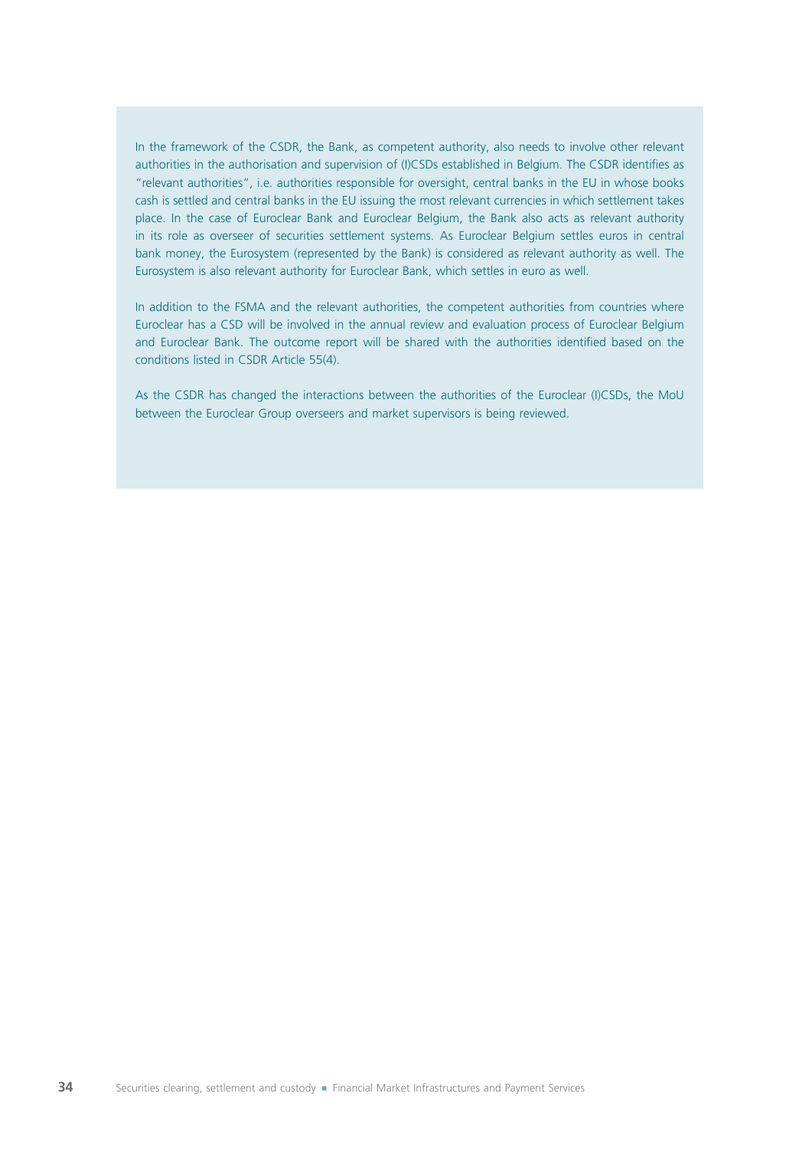In the framework of the CSDR, the Bank, as competent authority, also needs to involve other relevant authorities in the authorisation and supervision of (I)CSDs established in Belgium. The CSDR identifies as "relevant authorities", i.e. authorities responsible for oversight, central banks in the EU in whose books cash is settled and central banks in the EU issuing the most relevant currencies in which settlement takes place. In the case of Euroclear Bank and Euroclear Belgium, the Bank also acts as relevant authority in its role as overseer of securities settlement systems. As Euroclear Belgium settles euros in central bank money, the Eurosystem (represented by the Bank) is considered as relevant authority as well. The Eurosystem is also relevant authority for Euroclear Bank, which settles in euro as well.

In addition to the FSMA and the relevant authorities, the competent authorities from countries where Euroclear has a CSD will be involved in the annual review and evaluation process of Euroclear Belgium and Euroclear Bank. The outcome report will be shared with the authorities identified based on the conditions listed in CSDR Article 55(4).

As the CSDR has changed the interactions between the authorities of the Euroclear (I)CSDs, the MoU between the Euroclear Group overseers and market supervisors is being reviewed.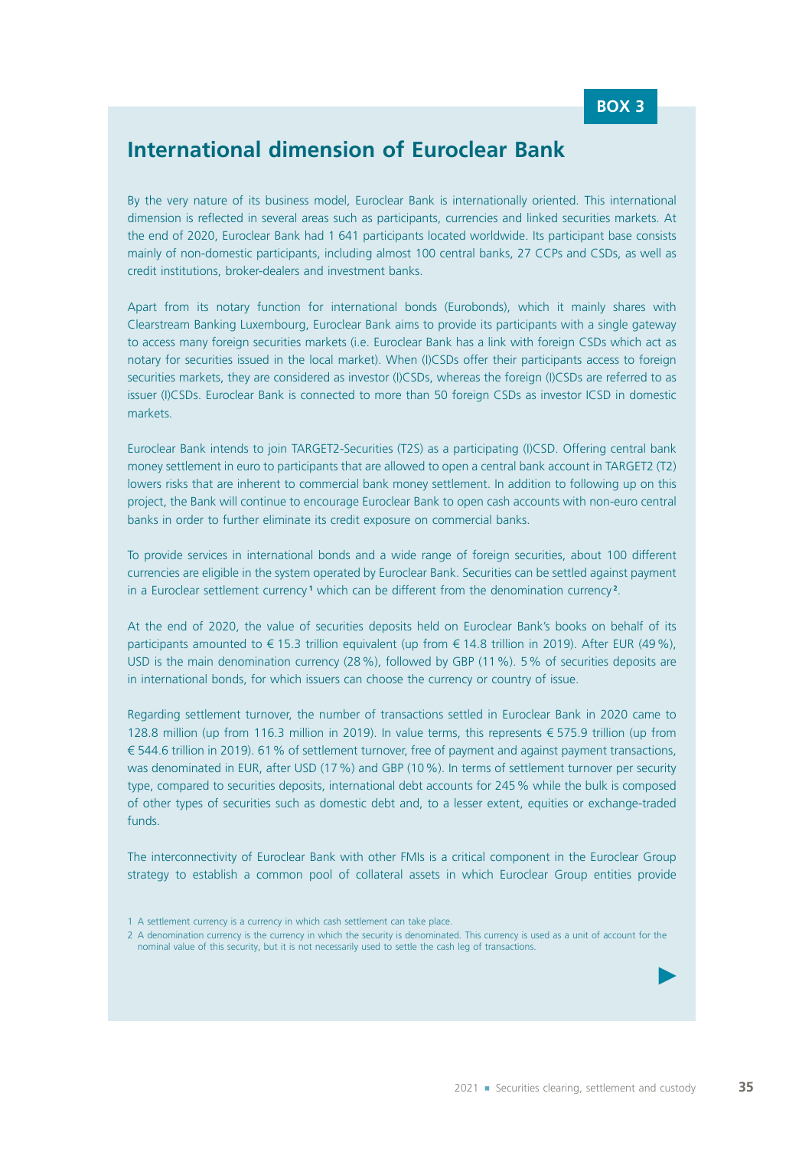## **International dimension of Euroclear Bank**

By the very nature of its business model, Euroclear Bank is internationally oriented. This international dimension is reflected in several areas such as participants, currencies and linked securities markets. At the end of 2020, Euroclear Bank had 1 641 participants located worldwide. Its participant base consists mainly of non‑domestic participants, including almost 100 central banks, 27 CCPs and CSDs, as well as credit institutions, broker‑dealers and investment banks.

Apart from its notary function for international bonds (Eurobonds), which it mainly shares with Clearstream Banking Luxembourg, Euroclear Bank aims to provide its participants with a single gateway to access many foreign securities markets (i.e. Euroclear Bank has a link with foreign CSDs which act as notary for securities issued in the local market). When (I)CSDs offer their participants access to foreign securities markets, they are considered as investor (I)CSDs, whereas the foreign (I)CSDs are referred to as issuer (I)CSDs. Euroclear Bank is connected to more than 50 foreign CSDs as investor ICSD in domestic markets.

Euroclear Bank intends to join TARGET2-Securities (T2S) as a participating (I)CSD. Offering central bank money settlement in euro to participants that are allowed to open a central bank account in TARGET2 (T2) lowers risks that are inherent to commercial bank money settlement. In addition to following up on this project, the Bank will continue to encourage Euroclear Bank to open cash accounts with non-euro central banks in order to further eliminate its credit exposure on commercial banks.

To provide services in international bonds and a wide range of foreign securities, about 100 different currencies are eligible in the system operated by Euroclear Bank. Securities can be settled against payment in a Euroclear settlement currency<sup>1</sup> which can be different from the denomination currency<sup>2</sup>.

At the end of 2020, the value of securities deposits held on Euroclear Bank's books on behalf of its participants amounted to € 15.3 trillion equivalent (up from € 14.8 trillion in 2019). After EUR (49%), USD is the main denomination currency (28%), followed by GBP (11%). 5% of securities deposits are in international bonds, for which issuers can choose the currency or country of issue.

Regarding settlement turnover, the number of transactions settled in Euroclear Bank in 2020 came to 128.8 million (up from 116.3 million in 2019). In value terms, this represents € 575.9 trillion (up from € 544.6 trillion in 2019). 61% of settlement turnover, free of payment and against payment transactions, was denominated in EUR, after USD (17 %) and GBP (10 %). In terms of settlement turnover per security type, compared to securities deposits, international debt accounts for 245% while the bulk is composed of other types of securities such as domestic debt and, to a lesser extent, equities or exchange-traded funds.

The interconnectivity of Euroclear Bank with other FMIs is a critical component in the Euroclear Group strategy to establish a common pool of collateral assets in which Euroclear Group entities provide

 $\blacktriangleright$ 

<sup>1</sup> A settlement currency is a currency in which cash settlement can take place.

<sup>2</sup> A denomination currency is the currency in which the security is denominated. This currency is used as a unit of account for the nominal value of this security, but it is not necessarily used to settle the cash leg of transactions.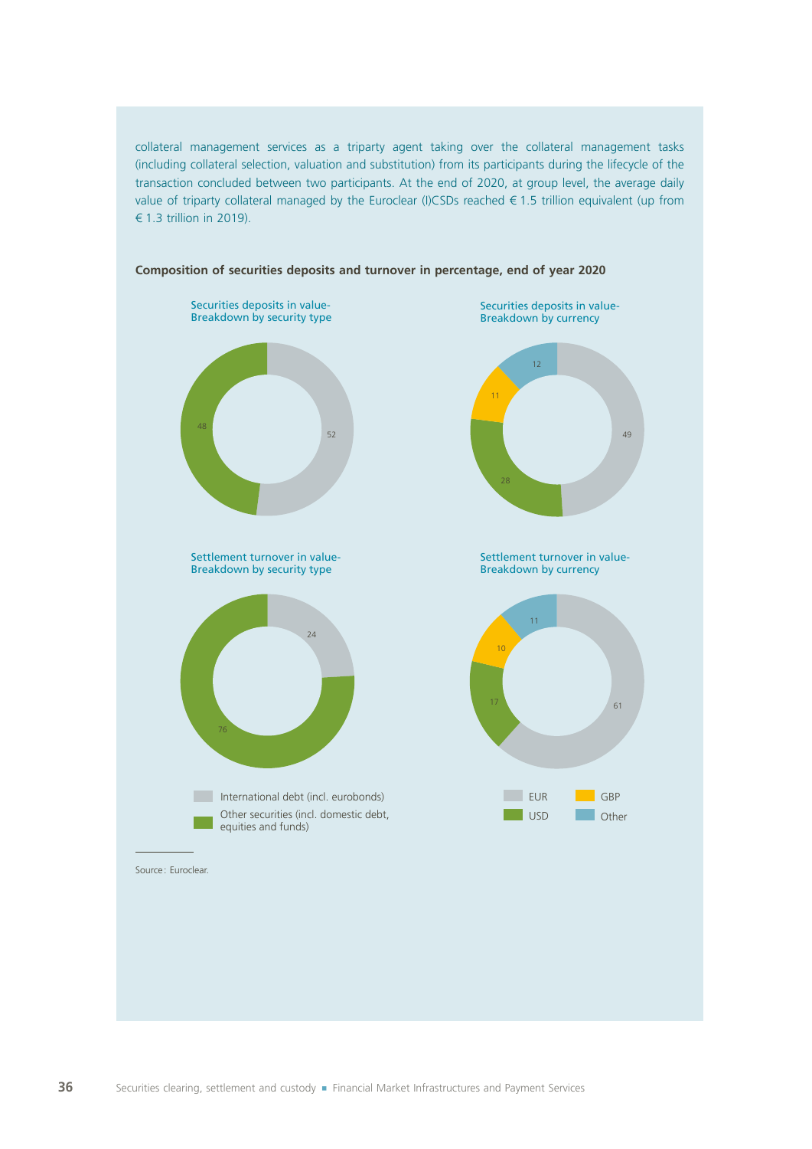collateral management services as a triparty agent taking over the collateral management tasks (including collateral selection, valuation and substitution) from its participants during the lifecycle of the transaction concluded between two participants. At the end of 2020, at group level, the average daily value of triparty collateral managed by the Euroclear (I)CSDs reached € 1.5 trillion equivalent (up from € 1.3 trillion in 2019).



#### **Composition of securities deposits and turnover in percentage, end of year 2020**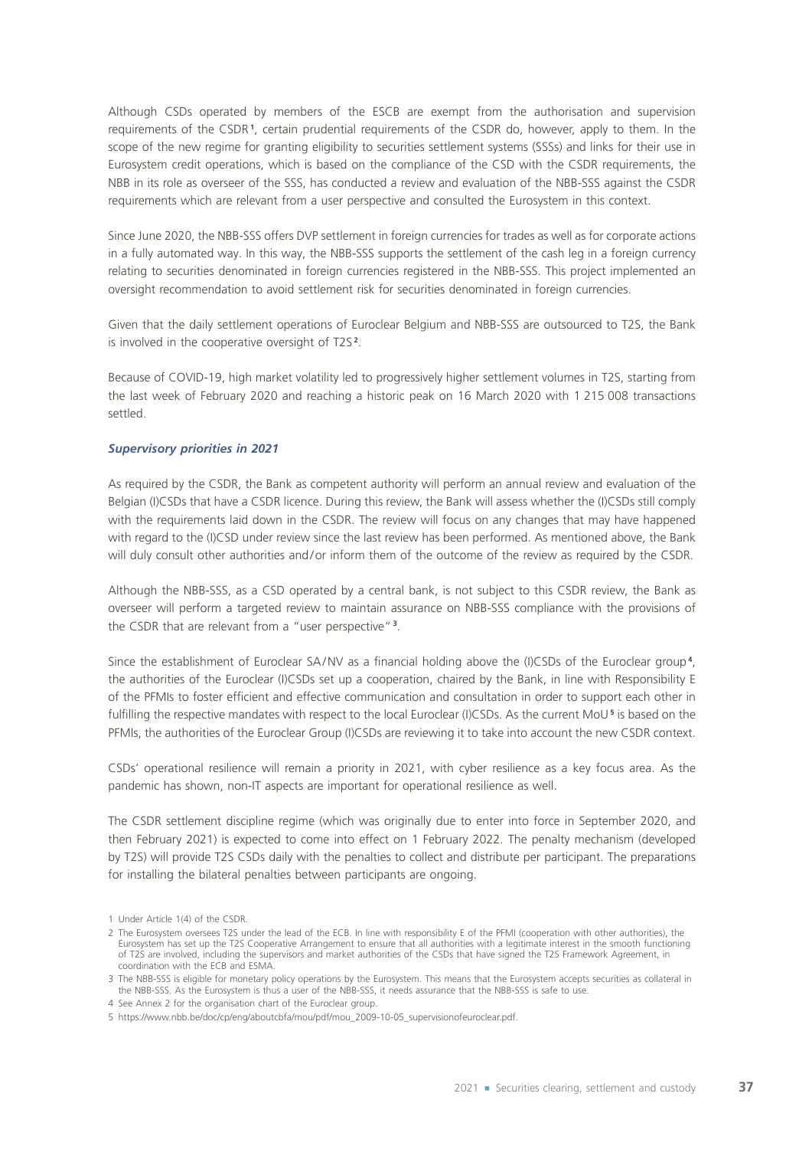Although CSDs operated by members of the ESCB are exempt from the authorisation and supervision requirements of the CSDR **<sup>1</sup>** , certain prudential requirements of the CSDR do, however, apply to them. In the scope of the new regime for granting eligibility to securities settlement systems (SSSs) and links for their use in Eurosystem credit operations, which is based on the compliance of the CSD with the CSDR requirements, the NBB in its role as overseer of the SSS, has conducted a review and evaluation of the NBB‑SSS against the CSDR requirements which are relevant from a user perspective and consulted the Eurosystem in this context.

Since June 2020, the NBB‑SSS offers DVP settlement in foreign currencies for trades as well as for corporate actions in a fully automated way. In this way, the NBB‑SSS supports the settlement of the cash leg in a foreign currency relating to securities denominated in foreign currencies registered in the NBB‑SSS. This project implemented an oversight recommendation to avoid settlement risk for securities denominated in foreign currencies.

Given that the daily settlement operations of Euroclear Belgium and NBB‑SSS are outsourced to T2S, the Bank is involved in the cooperative oversight of T2S<sup>2</sup>.

Because of COVID‑19, high market volatility led to progressively higher settlement volumes in T2S, starting from the last week of February 2020 and reaching a historic peak on 16 March 2020 with 1 215 008 transactions settled.

#### *Supervisory priorities in 2021*

As required by the CSDR, the Bank as competent authority will perform an annual review and evaluation of the Belgian (I)CSDs that have a CSDR licence. During this review, the Bank will assess whether the (I)CSDs still comply with the requirements laid down in the CSDR. The review will focus on any changes that may have happened with regard to the (I)CSD under review since the last review has been performed. As mentioned above, the Bank will duly consult other authorities and/or inform them of the outcome of the review as required by the CSDR.

Although the NBB‑SSS, as a CSD operated by a central bank, is not subject to this CSDR review, the Bank as overseer will perform a targeted review to maintain assurance on NBB‑SSS compliance with the provisions of the CSDR that are relevant from a "user perspective" **<sup>3</sup>** .

Since the establishment of Euroclear SA/NV as a financial holding above the (I)CSDs of the Euroclear group<sup>4</sup>, the authorities of the Euroclear (I)CSDs set up a cooperation, chaired by the Bank, in line with Responsibility E of the PFMIs to foster efficient and effective communication and consultation in order to support each other in fulfilling the respective mandates with respect to the local Euroclear (I)CSDs. As the current MoU<sup>5</sup> is based on the PFMIs, the authorities of the Euroclear Group (I)CSDs are reviewing it to take into account the new CSDR context.

CSDs' operational resilience will remain a priority in 2021, with cyber resilience as a key focus area. As the pandemic has shown, non‑IT aspects are important for operational resilience as well.

The CSDR settlement discipline regime (which was originally due to enter into force in September 2020, and then February 2021) is expected to come into effect on 1 February 2022. The penalty mechanism (developed by T2S) will provide T2S CSDs daily with the penalties to collect and distribute per participant. The preparations for installing the bilateral penalties between participants are ongoing.

<sup>1</sup> Under Article 1(4) of the CSDR.

<sup>2</sup> The Eurosystem oversees T2S under the lead of the ECB. In line with responsibility E of the PFMI (cooperation with other authorities), the Eurosystem has set up the T2S Cooperative Arrangement to ensure that all authorities with a legitimate interest in the smooth functioning of T2S are involved, including the supervisors and market authorities of the CSDs that have signed the T2S Framework Agreement, in coordination with the ECB and ESMA.

<sup>3</sup> The NBB-SSS is eligible for monetary policy operations by the Eurosystem. This means that the Eurosystem accepts securities as collateral in the NBB‑SSS. As the Eurosystem is thus a user of the NBB‑SSS, it needs assurance that the NBB‑SSS is safe to use.

<sup>4</sup> See Annex 2 for the organisation chart of the Euroclear group.

<sup>5</sup> https://www.nbb.be/doc/cp/eng/aboutcbfa/mou/pdf/mou\_2009-10-05\_supervisionofeuroclear.pdf.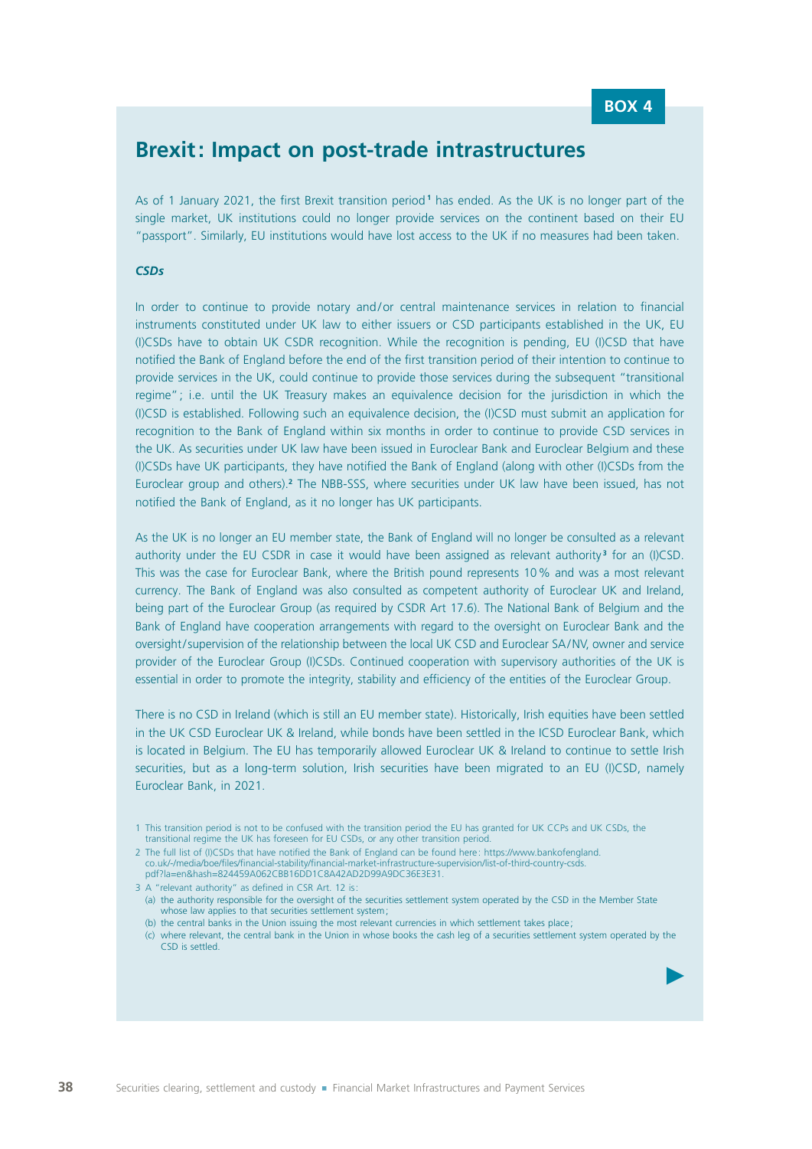$\blacktriangleright$ 

## **Brexit: Impact on post‑trade intrastructures**

As of 1 January 2021, the first Brexit transition period **<sup>1</sup>** has ended. As the UK is no longer part of the single market, UK institutions could no longer provide services on the continent based on their EU "passport". Similarly, EU institutions would have lost access to the UK if no measures had been taken.

#### *CSDs*

In order to continue to provide notary and/or central maintenance services in relation to financial instruments constituted under UK law to either issuers or CSD participants established in the UK, EU (I)CSDs have to obtain UK CSDR recognition. While the recognition is pending, EU (I)CSD that have notified the Bank of England before the end of the first transition period of their intention to continue to provide services in the UK, could continue to provide those services during the subsequent "transitional regime"; i.e. until the UK Treasury makes an equivalence decision for the jurisdiction in which the (I)CSD is established. Following such an equivalence decision, the (I)CSD must submit an application for recognition to the Bank of England within six months in order to continue to provide CSD services in the UK. As securities under UK law have been issued in Euroclear Bank and Euroclear Belgium and these (I)CSDs have UK participants, they have notified the Bank of England (along with other (I)CSDs from the Euroclear group and others).<sup>2</sup> The NBB-SSS, where securities under UK law have been issued, has not notified the Bank of England, as it no longer has UK participants.

As the UK is no longer an EU member state, the Bank of England will no longer be consulted as a relevant authority under the EU CSDR in case it would have been assigned as relevant authority<sup>3</sup> for an (I)CSD. This was the case for Euroclear Bank, where the British pound represents 10% and was a most relevant currency. The Bank of England was also consulted as competent authority of Euroclear UK and Ireland, being part of the Euroclear Group (as required by CSDR Art 17.6). The National Bank of Belgium and the Bank of England have cooperation arrangements with regard to the oversight on Euroclear Bank and the oversight/supervision of the relationship between the local UK CSD and Euroclear SA/NV, owner and service provider of the Euroclear Group (I)CSDs. Continued cooperation with supervisory authorities of the UK is essential in order to promote the integrity, stability and efficiency of the entities of the Euroclear Group.

There is no CSD in Ireland (which is still an EU member state). Historically, Irish equities have been settled in the UK CSD Euroclear UK & Ireland, while bonds have been settled in the ICSD Euroclear Bank, which is located in Belgium. The EU has temporarily allowed Euroclear UK & Ireland to continue to settle Irish securities, but as a long-term solution, Irish securities have been migrated to an EU (I)CSD, namely Euroclear Bank, in 2021.

1 This transition period is not to be confused with the transition period the EU has granted for UK CCPs and UK CSDs, the transitional regime the UK has foreseen for EU CSDs, or any other transition period.

- 3 A "relevant authority" as defined in CSR Art. 12 is: (a) the authority responsible for the oversight of the securities settlement system operated by the CSD in the Member State whose law applies to that securities settlement system;
	- (b) the central banks in the Union issuing the most relevant currencies in which settlement takes place;

<sup>2</sup> The full list of (I)CSDs that have notified the Bank of England can be found here : https://www.bankofengland. co.uk/-/media/boe/files/financial-stability/financial-market-infrastructure-supervision/list-of-third-country-csds. pdf?la=en&hash=824459A062CBB16DD1C8A42AD2D99A9DC36E3E31.

<sup>(</sup>c) where relevant, the central bank in the Union in whose books the cash leg of a securities settlement system operated by the CSD is settled.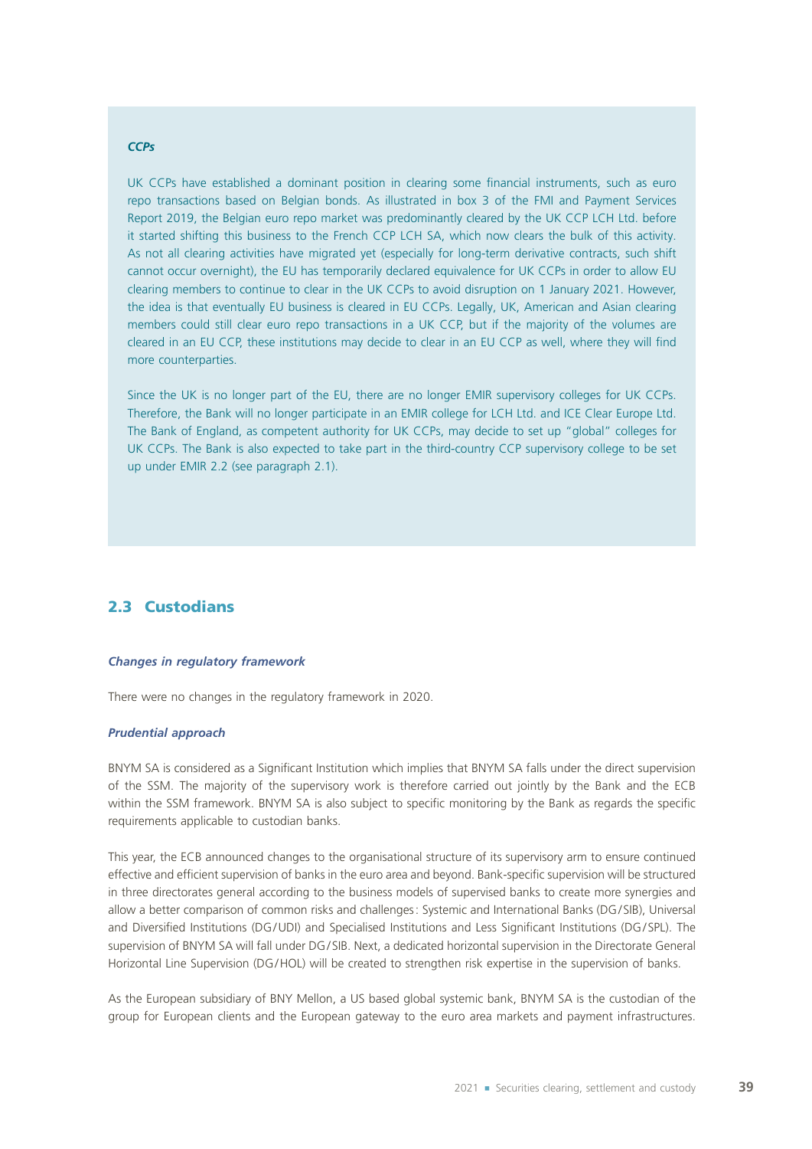#### *CCPs*

UK CCPs have established a dominant position in clearing some financial instruments, such as euro repo transactions based on Belgian bonds. As illustrated in box 3 of the FMI and Payment Services Report 2019, the Belgian euro repo market was predominantly cleared by the UK CCP LCH Ltd. before it started shifting this business to the French CCP LCH SA, which now clears the bulk of this activity. As not all clearing activities have migrated yet (especially for long-term derivative contracts, such shift cannot occur overnight), the EU has temporarily declared equivalence for UK CCPs in order to allow EU clearing members to continue to clear in the UK CCPs to avoid disruption on 1 January 2021. However, the idea is that eventually EU business is cleared in EU CCPs. Legally, UK, American and Asian clearing members could still clear euro repo transactions in a UK CCP, but if the majority of the volumes are cleared in an EU CCP, these institutions may decide to clear in an EU CCP as well, where they will find more counterparties.

Since the UK is no longer part of the EU, there are no longer EMIR supervisory colleges for UK CCPs. Therefore, the Bank will no longer participate in an EMIR college for LCH Ltd. and ICE Clear Europe Ltd. The Bank of England, as competent authority for UK CCPs, may decide to set up "global" colleges for UK CCPs. The Bank is also expected to take part in the third-country CCP supervisory college to be set up under EMIR 2.2 (see paragraph 2.1).

### 2.3 Custodians

#### *Changes in regulatory framework*

There were no changes in the regulatory framework in 2020.

#### *Prudential approach*

BNYM SA is considered as a Significant Institution which implies that BNYM SA falls under the direct supervision of the SSM. The majority of the supervisory work is therefore carried out jointly by the Bank and the ECB within the SSM framework. BNYM SA is also subject to specific monitoring by the Bank as regards the specific requirements applicable to custodian banks.

This year, the ECB announced changes to the organisational structure of its supervisory arm to ensure continued effective and efficient supervision of banks in the euro area and beyond. Bank‑specific supervision will be structured in three directorates general according to the business models of supervised banks to create more synergies and allow a better comparison of common risks and challenges: Systemic and International Banks (DG/SIB), Universal and Diversified Institutions (DG/UDI) and Specialised Institutions and Less Significant Institutions (DG/SPL). The supervision of BNYM SA will fall under DG/SIB. Next, a dedicated horizontal supervision in the Directorate General Horizontal Line Supervision (DG/HOL) will be created to strengthen risk expertise in the supervision of banks.

As the European subsidiary of BNY Mellon, a US based global systemic bank, BNYM SA is the custodian of the group for European clients and the European gateway to the euro area markets and payment infrastructures.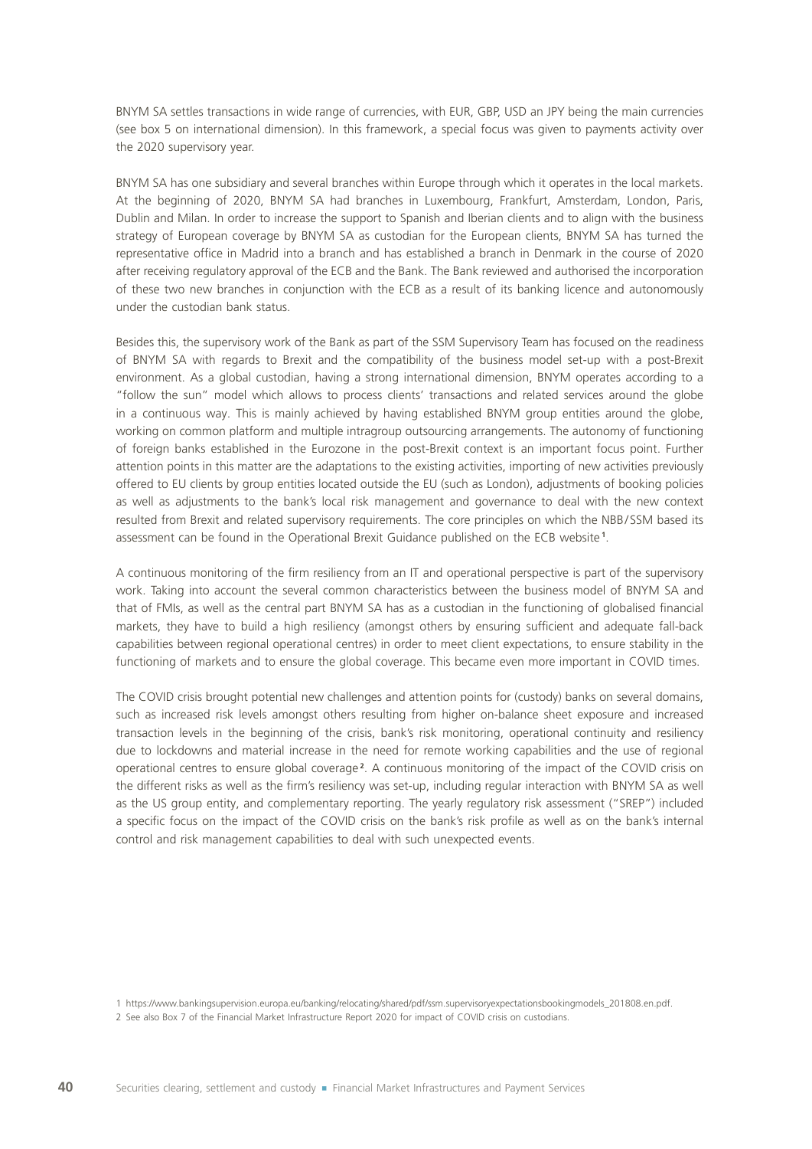BNYM SA settles transactions in wide range of currencies, with EUR, GBP, USD an JPY being the main currencies (see box 5 on international dimension). In this framework, a special focus was given to payments activity over the 2020 supervisory year.

BNYM SA has one subsidiary and several branches within Europe through which it operates in the local markets. At the beginning of 2020, BNYM SA had branches in Luxembourg, Frankfurt, Amsterdam, London, Paris, Dublin and Milan. In order to increase the support to Spanish and Iberian clients and to align with the business strategy of European coverage by BNYM SA as custodian for the European clients, BNYM SA has turned the representative office in Madrid into a branch and has established a branch in Denmark in the course of 2020 after receiving regulatory approval of the ECB and the Bank. The Bank reviewed and authorised the incorporation of these two new branches in conjunction with the ECB as a result of its banking licence and autonomously under the custodian bank status.

Besides this, the supervisory work of the Bank as part of the SSM Supervisory Team has focused on the readiness of BNYM SA with regards to Brexit and the compatibility of the business model set‑up with a post‑Brexit environment. As a global custodian, having a strong international dimension, BNYM operates according to a "follow the sun" model which allows to process clients' transactions and related services around the globe in a continuous way. This is mainly achieved by having established BNYM group entities around the globe, working on common platform and multiple intragroup outsourcing arrangements. The autonomy of functioning of foreign banks established in the Eurozone in the post‑Brexit context is an important focus point. Further attention points in this matter are the adaptations to the existing activities, importing of new activities previously offered to EU clients by group entities located outside the EU (such as London), adjustments of booking policies as well as adjustments to the bank's local risk management and governance to deal with the new context resulted from Brexit and related supervisory requirements. The core principles on which the NBB/SSM based its assessment can be found in the Operational Brexit Guidance published on the ECB website **<sup>1</sup>** .

A continuous monitoring of the firm resiliency from an IT and operational perspective is part of the supervisory work. Taking into account the several common characteristics between the business model of BNYM SA and that of FMIs, as well as the central part BNYM SA has as a custodian in the functioning of globalised financial markets, they have to build a high resiliency (amongst others by ensuring sufficient and adequate fall-back capabilities between regional operational centres) in order to meet client expectations, to ensure stability in the functioning of markets and to ensure the global coverage. This became even more important in COVID times.

The COVID crisis brought potential new challenges and attention points for (custody) banks on several domains, such as increased risk levels amongst others resulting from higher on-balance sheet exposure and increased transaction levels in the beginning of the crisis, bank's risk monitoring, operational continuity and resiliency due to lockdowns and material increase in the need for remote working capabilities and the use of regional operational centres to ensure global coverage **<sup>2</sup>** . A continuous monitoring of the impact of the COVID crisis on the different risks as well as the firm's resiliency was set-up, including regular interaction with BNYM SA as well as the US group entity, and complementary reporting. The yearly regulatory risk assessment ("SREP") included a specific focus on the impact of the COVID crisis on the bank's risk profile as well as on the bank's internal control and risk management capabilities to deal with such unexpected events.

<sup>1</sup> https://www.bankingsupervision.europa.eu/banking/relocating/shared/pdf/ssm.supervisoryexpectationsbookingmodels\_201808.en.pdf.

<sup>2</sup> See also Box 7 of the Financial Market Infrastructure Report 2020 for impact of COVID crisis on custodians.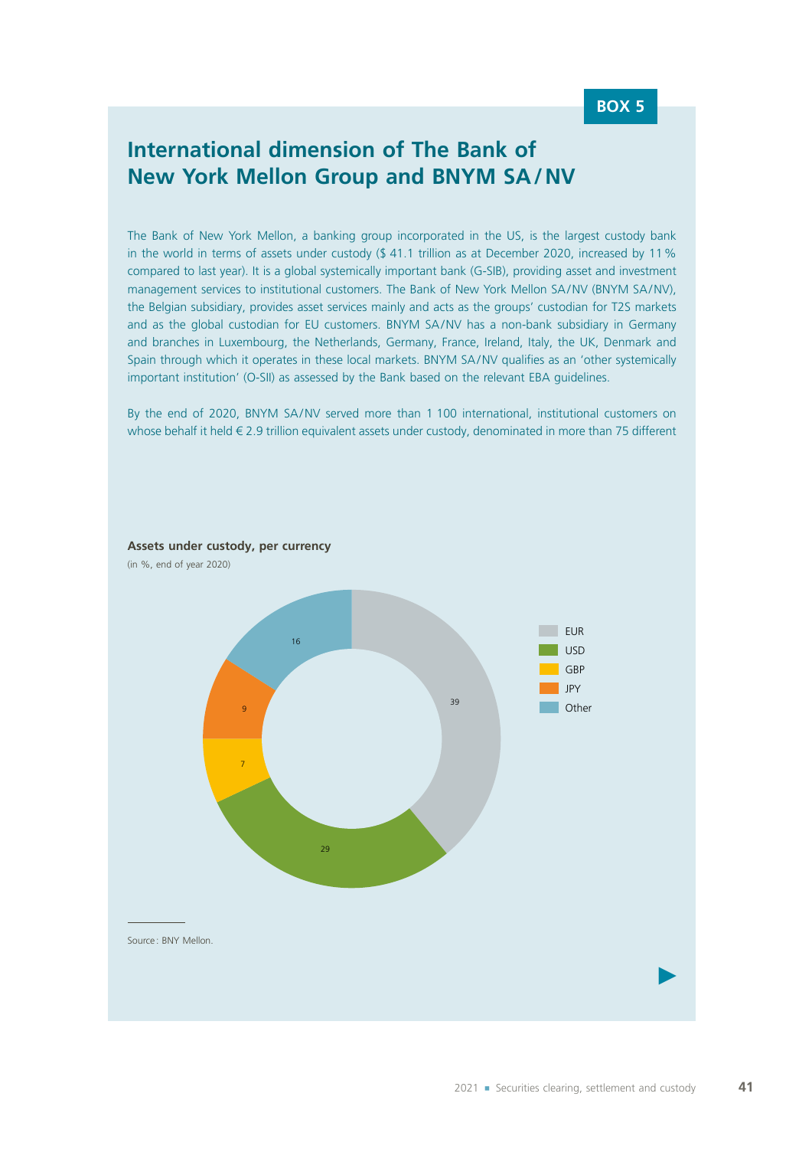## **International dimension of The Bank of New York Mellon Group and BNYM SA/NV**

The Bank of New York Mellon, a banking group incorporated in the US, is the largest custody bank in the world in terms of assets under custody (\$41.1 trillion as at December 2020, increased by 11% compared to last year). It is a global systemically important bank (G-SIB), providing asset and investment management services to institutional customers. The Bank of New York Mellon SA/NV (BNYM SA/NV), the Belgian subsidiary, provides asset services mainly and acts as the groups' custodian for T2S markets and as the global custodian for EU customers. BNYM SA/NV has a non-bank subsidiary in Germany and branches in Luxembourg, the Netherlands, Germany, France, Ireland, Italy, the UK, Denmark and Spain through which it operates in these local markets. BNYM SA/NV qualifies as an 'other systemically important institution' (O-SII) as assessed by the Bank based on the relevant EBA guidelines.

By the end of 2020, BNYM SA/NV served more than 1 100 international, institutional customers on whose behalf it held € 2.9 trillion equivalent assets under custody, denominated in more than 75 different

**Assets under custody, per currency**

(in %, end of year 2020)

 $\blacktriangleright$ 39  $29$ 7 9 16 EUR<sub>EUR</sub> USD GBP JPY **Other** Source: BNY Mellon.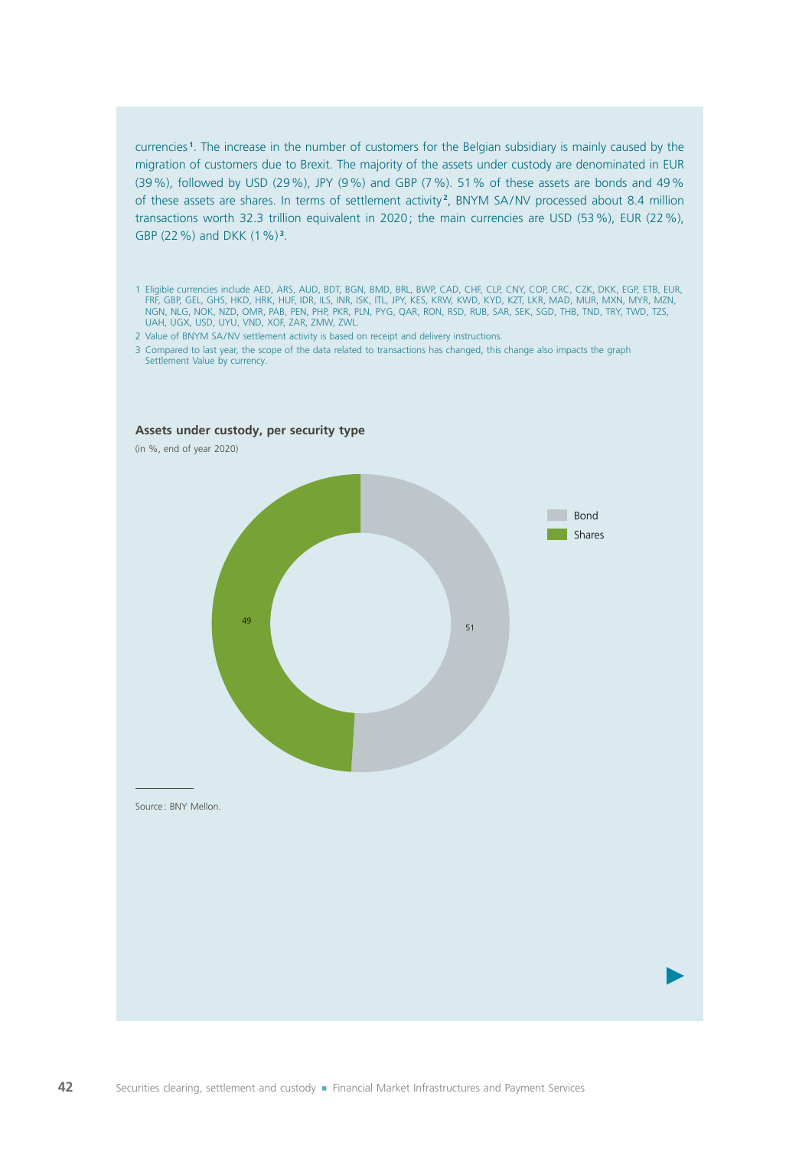currencies **<sup>1</sup>** . The increase in the number of customers for the Belgian subsidiary is mainly caused by the migration of customers due to Brexit. The majority of the assets under custody are denominated in EUR (39%), followed by USD (29%), JPY (9%) and GBP (7%). 51% of these assets are bonds and 49% of these assets are shares. In terms of settlement activity **<sup>2</sup>** , BNYM SA/NV processed about 8.4 million transactions worth 32.3 trillion equivalent in 2020; the main currencies are USD (53%), EUR (22%), GBP (22%) and DKK (1%) **<sup>3</sup>** .

- 1 Eligible currencies include AED, ARS, AUD, BDT, BGN, BMD, BRL, BWP, CAD, CHF, CLP, CNY, COP, CRC, CZK, DKK, EGP, ETB, EUR, FRF, GBP, GEL, GHS, HKD, HRK, HUF, IDR, ILS, INR, ISK, ITL, JPY, KES, KRW, KWD, KYD, KZT, LKR, MAD, MUR, MXN, MYR, MZN, NGN, NLG, NOK, NZD, OMR, PAB, PEN, PHP, PKR, PLN, PYG, QAR, RON, RSD, RUB, SAR, SEK, SGD, THB, TND, TRY, TWD, TZS, UAH, UGX, USD, UYU, VND, XOF, ZAR, ZMW, ZWL.
- 2 Value of BNYM SA/NV settlement activity is based on receipt and delivery instructions.
- 3 Compared to last year, the scope of the data related to transactions has changed, this change also impacts the graph Settlement Value by currency.



### **Assets under custody, per security type**

(in %, end of year 2020)